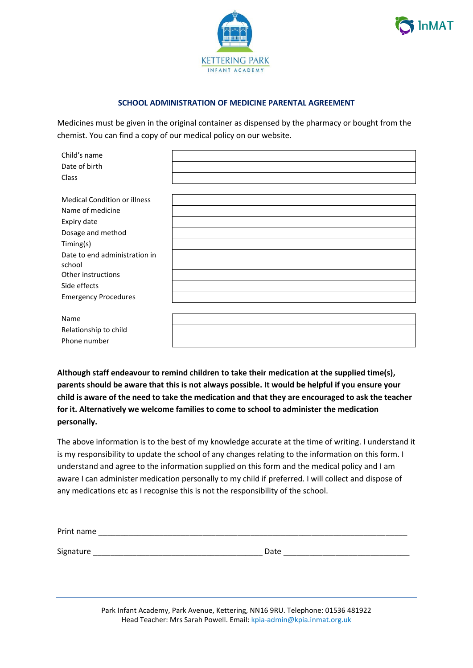



## **SCHOOL ADMINISTRATION OF MEDICINE PARENTAL AGREEMENT**

Medicines must be given in the original container as dispensed by the pharmacy or bought from the chemist. You can find a copy of our medical policy on our website.

| Child's name                            |  |
|-----------------------------------------|--|
| Date of birth                           |  |
| Class                                   |  |
|                                         |  |
| <b>Medical Condition or illness</b>     |  |
| Name of medicine                        |  |
| Expiry date                             |  |
| Dosage and method                       |  |
| Timing(s)                               |  |
| Date to end administration in<br>school |  |
| Other instructions                      |  |
| Side effects                            |  |
| <b>Emergency Procedures</b>             |  |
|                                         |  |
| Name                                    |  |
| Relationship to child                   |  |
| Phone number                            |  |

**Although staff endeavour to remind children to take their medication at the supplied time(s), parents should be aware that this is not always possible. It would be helpful if you ensure your child is aware of the need to take the medication and that they are encouraged to ask the teacher for it. Alternatively we welcome families to come to school to administer the medication personally.**

The above information is to the best of my knowledge accurate at the time of writing. I understand it is my responsibility to update the school of any changes relating to the information on this form. I understand and agree to the information supplied on this form and the medical policy and I am aware I can administer medication personally to my child if preferred. I will collect and dispose of any medications etc as I recognise this is not the responsibility of the school.

| Print name |      |
|------------|------|
|            |      |
| Signature  | Date |

Park Infant Academy, Park Avenue, Kettering, NN16 9RU. Telephone: 01536 481922 Head Teacher: Mrs Sarah Powell. Email: kpia-admin@kpia.inmat.org.uk